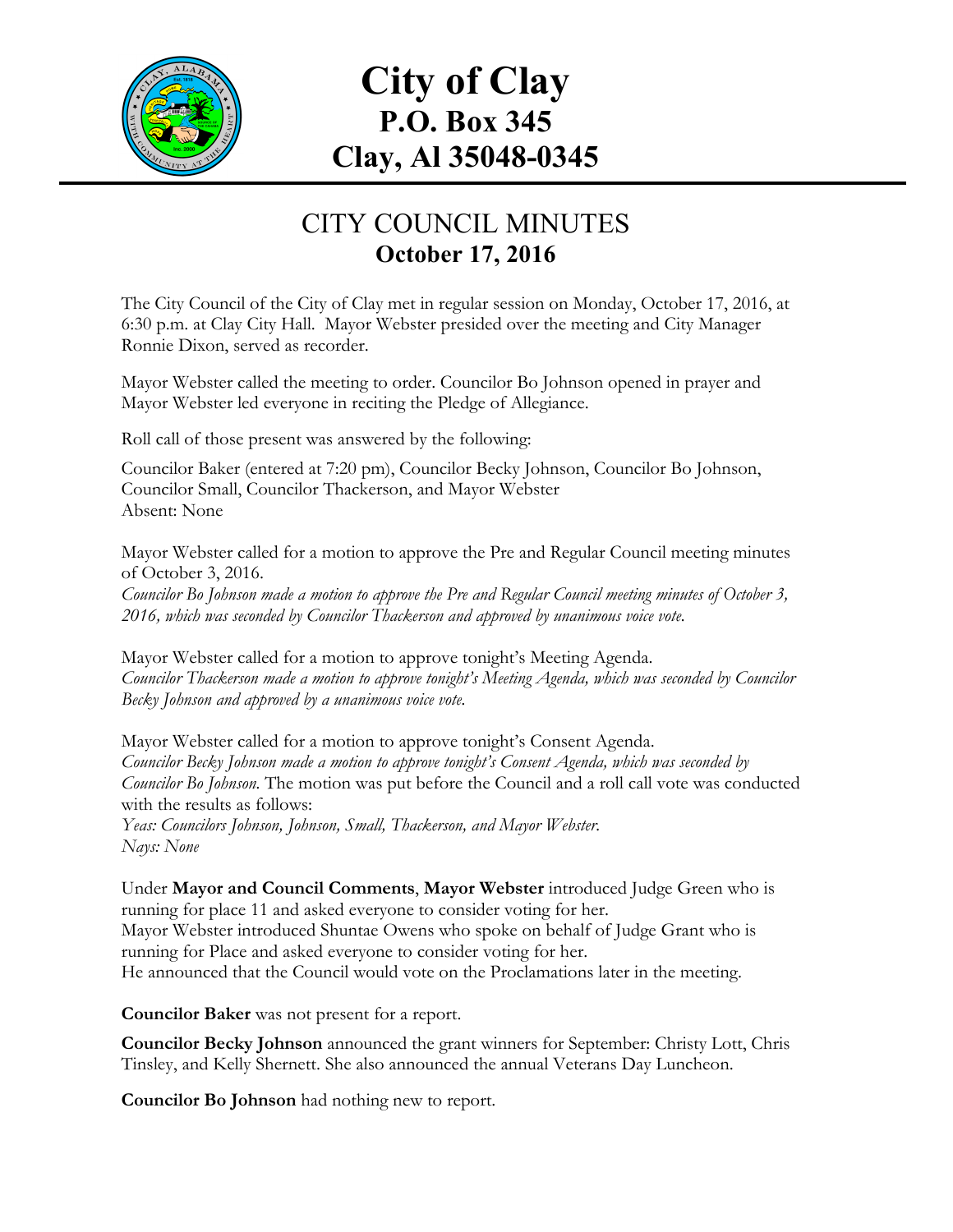

# **City of Clay P.O. Box 345 Clay, Al 35048-0345**

## CITY COUNCIL MINUTES **October 17, 2016**

The City Council of the City of Clay met in regular session on Monday, October 17, 2016, at 6:30 p.m. at Clay City Hall. Mayor Webster presided over the meeting and City Manager Ronnie Dixon, served as recorder.

Mayor Webster called the meeting to order. Councilor Bo Johnson opened in prayer and Mayor Webster led everyone in reciting the Pledge of Allegiance.

Roll call of those present was answered by the following:

Councilor Baker (entered at 7:20 pm), Councilor Becky Johnson, Councilor Bo Johnson, Councilor Small, Councilor Thackerson, and Mayor Webster Absent: None

Mayor Webster called for a motion to approve the Pre and Regular Council meeting minutes of October 3, 2016.

*Councilor Bo Johnson made a motion to approve the Pre and Regular Council meeting minutes of October 3, 2016, which was seconded by Councilor Thackerson and approved by unanimous voice vote.*

Mayor Webster called for a motion to approve tonight's Meeting Agenda. *Councilor Thackerson made a motion to approve tonight's Meeting Agenda, which was seconded by Councilor Becky Johnson and approved by a unanimous voice vote.*

Mayor Webster called for a motion to approve tonight's Consent Agenda. *Councilor Becky Johnson made a motion to approve tonight's Consent Agenda, which was seconded by Councilor Bo Johnson.* The motion was put before the Council and a roll call vote was conducted with the results as follows:

*Yeas: Councilors Johnson, Johnson, Small, Thackerson, and Mayor Webster. Nays: None*

Under **Mayor and Council Comments**, **Mayor Webster** introduced Judge Green who is running for place 11 and asked everyone to consider voting for her. Mayor Webster introduced Shuntae Owens who spoke on behalf of Judge Grant who is running for Place and asked everyone to consider voting for her. He announced that the Council would vote on the Proclamations later in the meeting.

**Councilor Baker** was not present for a report.

**Councilor Becky Johnson** announced the grant winners for September: Christy Lott, Chris Tinsley, and Kelly Shernett. She also announced the annual Veterans Day Luncheon.

**Councilor Bo Johnson** had nothing new to report.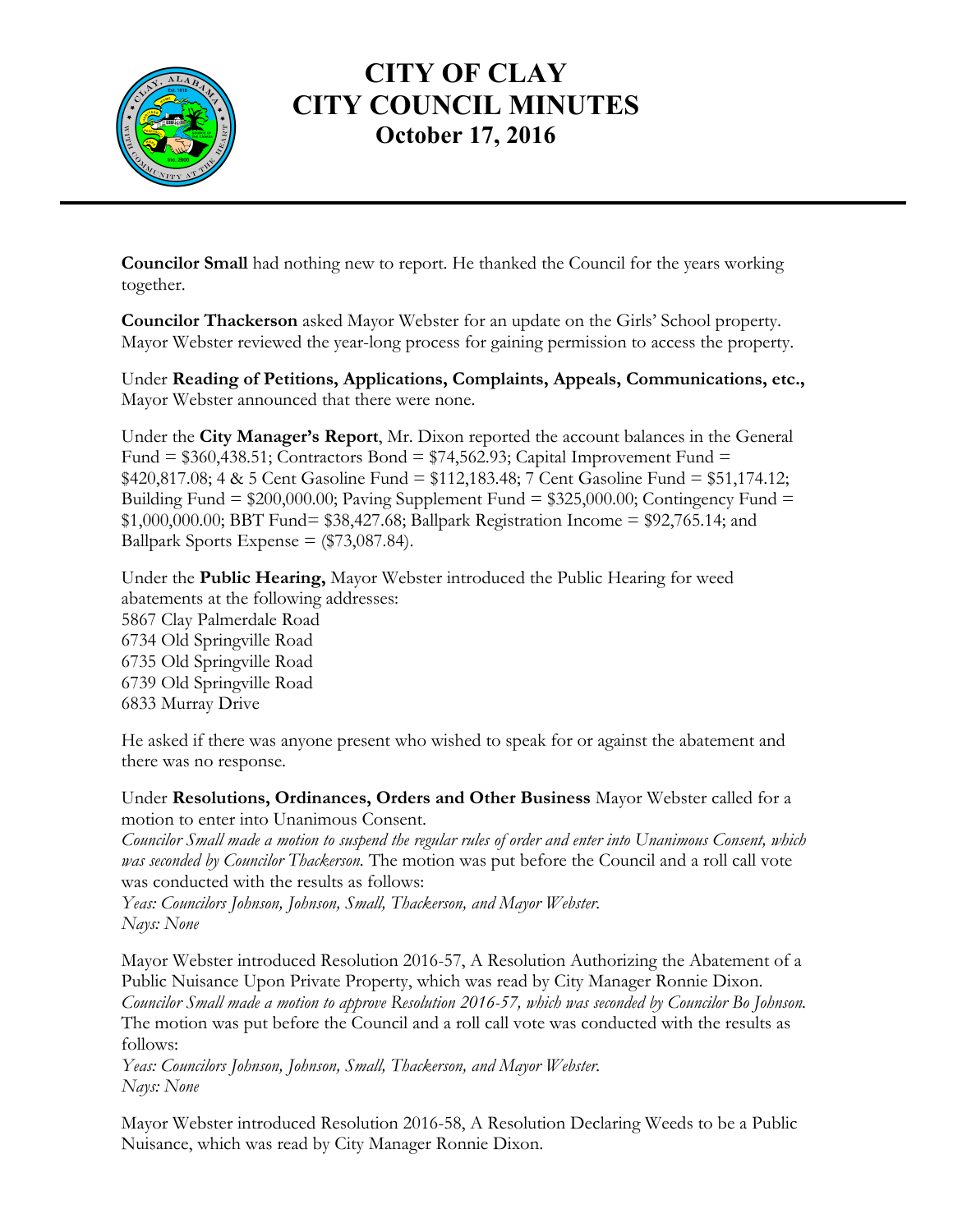

#### **CITY OF CLAY CITY COUNCIL MINUTES October 17, 2016**

**Councilor Small** had nothing new to report. He thanked the Council for the years working together.

**Councilor Thackerson** asked Mayor Webster for an update on the Girls' School property. Mayor Webster reviewed the year-long process for gaining permission to access the property.

Under **Reading of Petitions, Applications, Complaints, Appeals, Communications, etc.,** Mayor Webster announced that there were none.

Under the **City Manager's Report**, Mr. Dixon reported the account balances in the General Fund =  $$360,438.51$ ; Contractors Bond =  $$74,562.93$ ; Capital Improvement Fund = \$420,817.08; 4 & 5 Cent Gasoline Fund = \$112,183.48; 7 Cent Gasoline Fund = \$51,174.12; Building Fund  $= $200,000.00;$  Paving Supplement Fund  $= $325,000.00;$  Contingency Fund  $=$ \$1,000,000.00; BBT Fund= \$38,427.68; Ballpark Registration Income = \$92,765.14; and Ballpark Sports Expense  $=$  (\$73,087.84).

Under the **Public Hearing,** Mayor Webster introduced the Public Hearing for weed abatements at the following addresses: 5867 Clay Palmerdale Road 6734 Old Springville Road 6735 Old Springville Road 6739 Old Springville Road 6833 Murray Drive

He asked if there was anyone present who wished to speak for or against the abatement and there was no response.

Under **Resolutions, Ordinances, Orders and Other Business** Mayor Webster called for a motion to enter into Unanimous Consent.

*Councilor Small made a motion to suspend the regular rules of order and enter into Unanimous Consent, which was seconded by Councilor Thackerson.* The motion was put before the Council and a roll call vote was conducted with the results as follows:

*Yeas: Councilors Johnson, Johnson, Small, Thackerson, and Mayor Webster. Nays: None*

Mayor Webster introduced Resolution 2016-57, A Resolution Authorizing the Abatement of a Public Nuisance Upon Private Property, which was read by City Manager Ronnie Dixon. *Councilor Small made a motion to approve Resolution 2016-57, which was seconded by Councilor Bo Johnson.*  The motion was put before the Council and a roll call vote was conducted with the results as follows:

*Yeas: Councilors Johnson, Johnson, Small, Thackerson, and Mayor Webster. Nays: None*

Mayor Webster introduced Resolution 2016-58, A Resolution Declaring Weeds to be a Public Nuisance, which was read by City Manager Ronnie Dixon.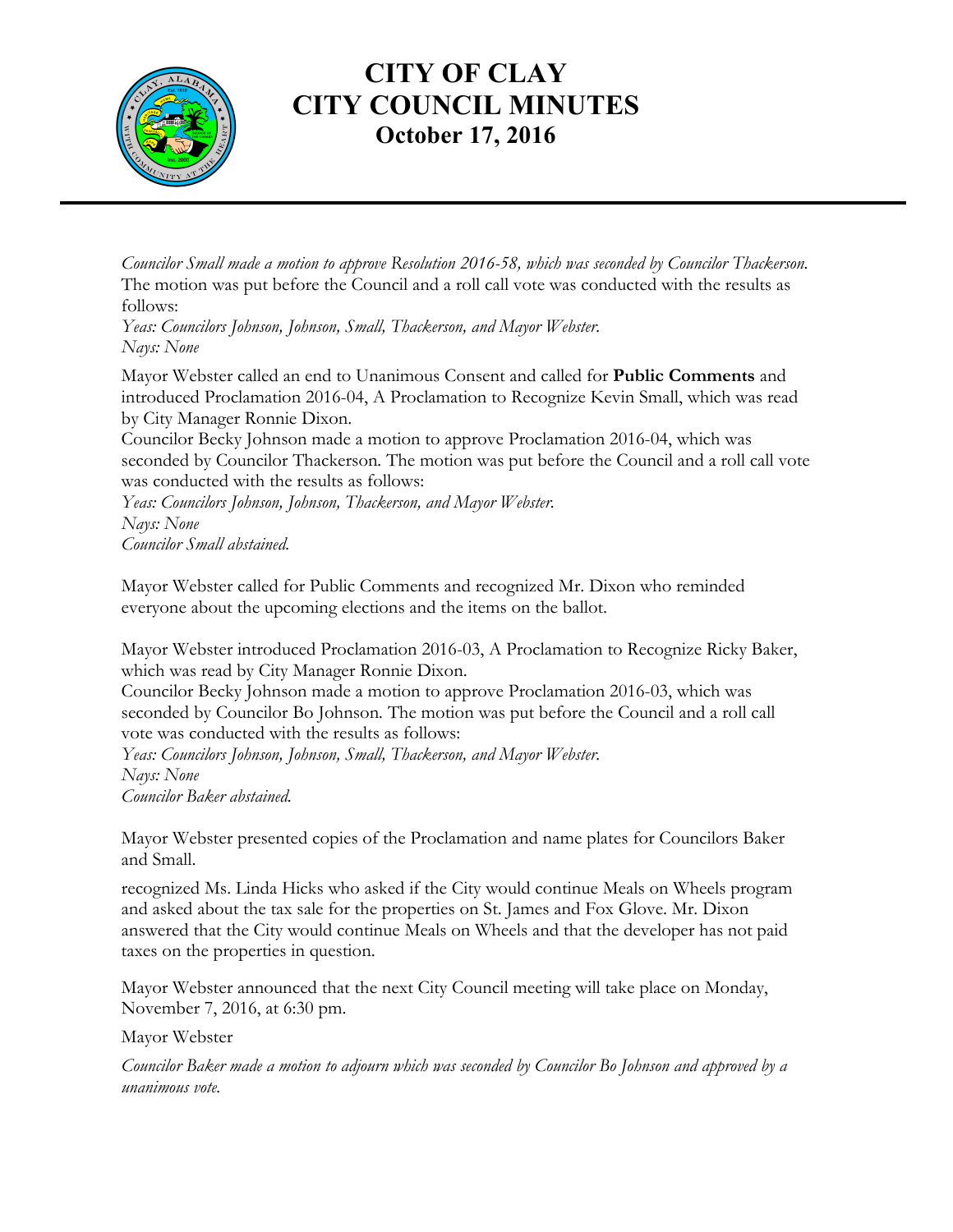

#### **CITY OF CLAY CITY COUNCIL MINUTES October 17, 2016**

*Councilor Small made a motion to approve Resolution 2016-58, which was seconded by Councilor Thackerson.*  The motion was put before the Council and a roll call vote was conducted with the results as follows:

*Yeas: Councilors Johnson, Johnson, Small, Thackerson, and Mayor Webster. Nays: None*

Mayor Webster called an end to Unanimous Consent and called for **Public Comments** and introduced Proclamation 2016-04, A Proclamation to Recognize Kevin Small, which was read by City Manager Ronnie Dixon.

Councilor Becky Johnson made a motion to approve Proclamation 2016-04, which was seconded by Councilor Thackerson*.* The motion was put before the Council and a roll call vote was conducted with the results as follows:

*Yeas: Councilors Johnson, Johnson, Thackerson, and Mayor Webster. Nays: None Councilor Small abstained.*

Mayor Webster called for Public Comments and recognized Mr. Dixon who reminded everyone about the upcoming elections and the items on the ballot.

Mayor Webster introduced Proclamation 2016-03, A Proclamation to Recognize Ricky Baker, which was read by City Manager Ronnie Dixon.

Councilor Becky Johnson made a motion to approve Proclamation 2016-03, which was seconded by Councilor Bo Johnson*.* The motion was put before the Council and a roll call vote was conducted with the results as follows:

*Yeas: Councilors Johnson, Johnson, Small, Thackerson, and Mayor Webster. Nays: None*

*Councilor Baker abstained.*

Mayor Webster presented copies of the Proclamation and name plates for Councilors Baker and Small.

recognized Ms. Linda Hicks who asked if the City would continue Meals on Wheels program and asked about the tax sale for the properties on St. James and Fox Glove. Mr. Dixon answered that the City would continue Meals on Wheels and that the developer has not paid taxes on the properties in question.

Mayor Webster announced that the next City Council meeting will take place on Monday, November 7, 2016, at 6:30 pm.

Mayor Webster

*Councilor Baker made a motion to adjourn which was seconded by Councilor Bo Johnson and approved by a unanimous vote.*